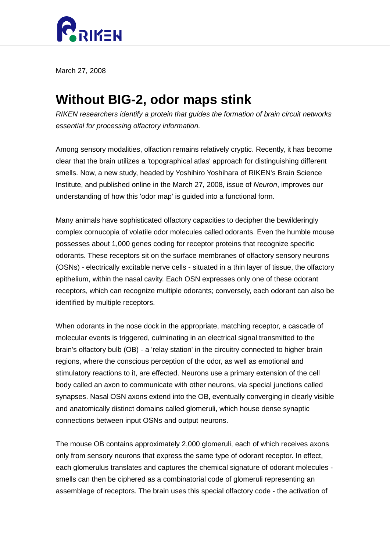

March 27, 2008

## **Without BIG-2, odor maps stink**

*RIKEN researchers identify a protein that guides the formation of brain circuit networks essential for processing olfactory information.*

Among sensory modalities, olfaction remains relatively cryptic. Recently, it has become clear that the brain utilizes a 'topographical atlas' approach for distinguishing different smells. Now, a new study, headed by Yoshihiro Yoshihara of RIKEN's Brain Science Institute, and published online in the March 27, 2008, issue of *Neuron*, improves our understanding of how this 'odor map' is guided into a functional form.

Many animals have sophisticated olfactory capacities to decipher the bewilderingly complex cornucopia of volatile odor molecules called odorants. Even the humble mouse possesses about 1,000 genes coding for receptor proteins that recognize specific odorants. These receptors sit on the surface membranes of olfactory sensory neurons (OSNs) - electrically excitable nerve cells - situated in a thin layer of tissue, the olfactory epithelium, within the nasal cavity. Each OSN expresses only one of these odorant receptors, which can recognize multiple odorants; conversely, each odorant can also be identified by multiple receptors.

When odorants in the nose dock in the appropriate, matching receptor, a cascade of molecular events is triggered, culminating in an electrical signal transmitted to the brain's olfactory bulb (OB) - a 'relay station' in the circuitry connected to higher brain regions, where the conscious perception of the odor, as well as emotional and stimulatory reactions to it, are effected. Neurons use a primary extension of the cell body called an axon to communicate with other neurons, via special junctions called synapses. Nasal OSN axons extend into the OB, eventually converging in clearly visible and anatomically distinct domains called glomeruli, which house dense synaptic connections between input OSNs and output neurons.

The mouse OB contains approximately 2,000 glomeruli, each of which receives axons only from sensory neurons that express the same type of odorant receptor. In effect, each glomerulus translates and captures the chemical signature of odorant molecules smells can then be ciphered as a combinatorial code of glomeruli representing an assemblage of receptors. The brain uses this special olfactory code - the activation of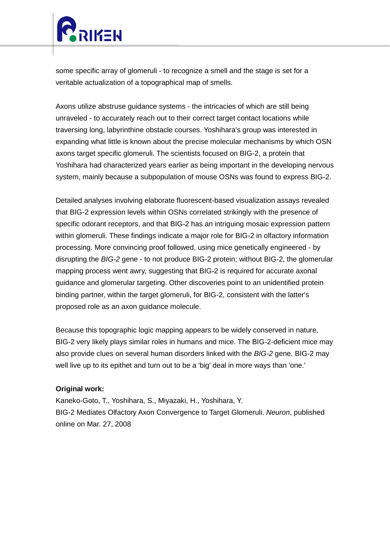

some specific array of glomeruli - to recognize a smell and the stage is set for a veritable actualization of a topographical map of smells.

Axons utilize abstruse guidance systems - the intricacies of which are still being unraveled - to accurately reach out to their correct target contact locations while traversing long, labyrinthine obstacle courses. Yoshihara's group was interested in expanding what little is known about the precise molecular mechanisms by which OSN axons target specific glomeruli. The scientists focused on BIG-2, a protein that Yoshihara had characterized years earlier as being important in the developing nervous system, mainly because a subpopulation of mouse OSNs was found to express BIG-2.

Detailed analyses involving elaborate fluorescent-based visualization assays revealed that BIG-2 expression levels within OSNs correlated strikingly with the presence of specific odorant receptors, and that BIG-2 has an intriguing mosaic expression pattern within glomeruli. These findings indicate a major role for BIG-2 in olfactory information processing. More convincing proof followed, using mice genetically engineered - by disrupting the *BIG-2* gene - to not produce BIG-2 protein; without BIG-2, the glomerular mapping process went awry, suggesting that BIG-2 is required for accurate axonal guidance and glomerular targeting. Other discoveries point to an unidentified protein binding partner, within the target glomeruli, for BIG-2, consistent with the latter's proposed role as an axon guidance molecule.

Because this topographic logic mapping appears to be widely conserved in nature, BIG-2 very likely plays similar roles in humans and mice. The BIG-2-deficient mice may also provide clues on several human disorders linked with the *BIG-2* gene. BIG-2 may well live up to its epithet and turn out to be a 'big' deal in more ways than 'one.'

## **Original work:**

Kaneko-Goto, T., Yoshihara, S., Miyazaki, H., Yoshihara, Y. BIG-2 Mediates Olfactory Axon Convergence to Target Glomeruli. *Neuron*, published online on Mar. 27, 2008